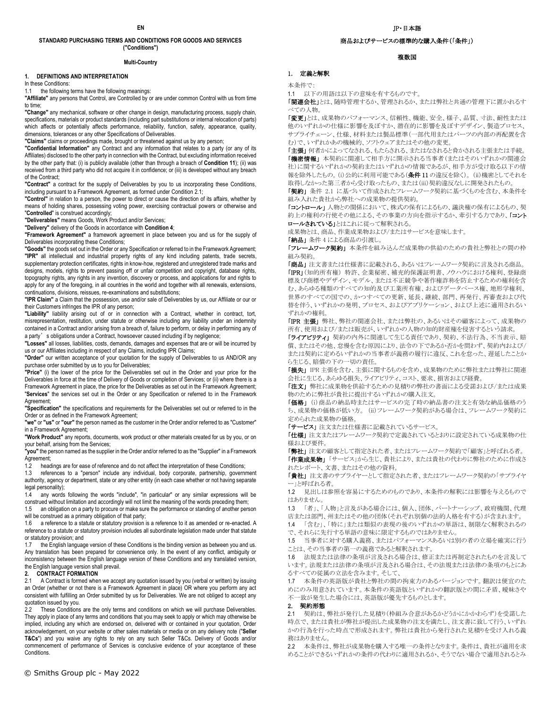## **STANDARD PURCHASING TERMS AND CONDITIONS FOR GOODS AND SERVICES ("Conditions")**

#### **Multi-Country**

#### **1. DEFINITIONS AND INTERPRETATION**

In these Conditions:

1.1 the following terms have the following meanings:

**"Affiliate"** any persons that Control, are Controlled by or are under common Control with us from time to time;

**"Change"** any mechanical, software or other change in design, manufacturing process, supply chain, specifications, materials or product standards (including part substitutions or internal relocation of parts) which affects or potentially affects performance, reliability, function, safety, appearance, quality, dimensions, tolerances or any other Specifications of Deliverables.

**"Claims"** claims or proceedings made, brought or threatened against us by any person;

**"Confidential Information"** any Contract and any information that relates to a party (or any of its Affiliates) disclosed to the other party in connection with the Contract, but excluding information received by the other party that: (i) is publicly available (other than through a breach of **Condition 11**); (ii) was received from a third party who did not acquire it in confidence; or (iii) is developed without any breach of the Contract;

**"Contract"** a contract for the supply of Deliverables by you to us incorporating these Conditions, including pursuant to a Framework Agreement, as formed under Condition 2.1;

**"Control"** in relation to a person, the power to direct or cause the direction of its affairs, whether by means of holding shares, possessing voting power, exercising contractual powers or otherwise and "**Controlled**" is construed accordingly;

**"Deliverables"** means Goods, Work Product and/or Services;

**"Delivery"** delivery of the Goods in accordance with **Condition 4**;

**"Framework Agreement"** a framework agreement in place between you and us for the supply of Deliverables incorporating these Conditions;

**"Goods"** the goods set out in the Order or any Specification or referred to in the Framework Agreement; **"IPR"** all intellectual and industrial property rights of any kind including patents, trade secrets, supplementary protection certificates, rights in know-how, registered and unregistered trade marks and designs, models, rights to prevent passing off or unfair competition and copyright, database rights, topography rights, any rights in any invention, discovery or process, and applications for and rights to apply for any of the foregoing, in all countries in the world and together with all renewals, extensions, continuations, divisions, reissues, re-examinations and substitutions;

**"IPR Claim"** a Claim that the possession, use and/or sale of Deliverables by us, our Affiliate or our or their Customers infringes the IPR of any person;

**"Liability"** liability arising out of or in connection with a Contract, whether in contract, tort, misrepresentation, restitution, under statute or otherwise including any liability under an indemnity contained in a Contract and/or arising from a breach of, failure to perform, or delay in performing any of a party's obligations under a Contract, howsoever caused including if by negligence;

**"Losses"** all losses, liabilities, costs, demands, damages and expenses that are or will be incurred by us or our Affiliates including in respect of any Claims, including IPR Claims;

**"Order"** our written acceptance of your quotation for the supply of Deliverables to us AND/OR any purchase order submitted by us to you for Deliverables;

**"Price"** (i) the lower of the price for the Deliverables set out in the Order and your price for the Deliverables in force at the time of Delivery of Goods or completion of Services; or (ii) where there is a Framework Agreement in place, the price for the Deliverables as set out in the Framework Agreement; "**Services**" the services set out in the Order or any Specification or referred to in the Framework Agreement;

**"Specification"** the specifications and requirements for the Deliverables set out or referred to in the Order or as defined in the Framework Agreement;

**"we"** or **"us"** or **"our"** the person named as the customer in the Order and/or referred to as "Customer" in a Framework Agreement;

**"Work Product"** any reports, documents, work product or other materials created for us by you, or on your behalf, arising from the Services;

**"you"**the person named as the supplier in the Order and/or referred to as the "Supplier" in a Framework Agreement;

1.2 headings are for ease of reference and do not affect the interpretation of these Conditions;

1.3 references to a "person" include any individual, body corporate, partnership, government authority, agency or department, state or any other entity (in each case whether or not having separate legal personality);

1.4 any words following the words "include", "in particular" or any similar expressions will be construed without limitation and accordingly will not limit the meaning of the words preceding them;

1.5 an obligation on a party to procure or make sure the performance or standing of another person will be construed as a primary obligation of that party;

1.6 a reference to a statute or statutory provision is a reference to it as amended or re-enacted. A reference to a statute or statutory provision includes all subordinate legislation made under that statute or statutory provision; and<br>1.7 the English languan

the English language version of these Conditions is the binding version as between you and us. Any translation has been prepared for convenience only. In the event of any conflict, ambiguity or inconsistency between the English language version of these Conditions and any translated version, the English language version shall prevail.

# **2. CONTRACT FORMATION**

2.1 A Contract is formed when we accept any quotation issued by you (verbal or written) by issuing an Order (whether or not there is a Framework Agreement in place) OR where you perform any act consistent with fulfilling an Order submitted by us for Deliverables. We are not obliged to accept any quotation issued by you.<br>2.2. These Conditions

These Conditions are the only terms and conditions on which we will purchase Deliverables. They apply in place of any terms and conditions that you may seek to apply or which may otherwise be implied, including any which are endorsed on, delivered with or contained in your quotation, Order acknowledgement, on your website or other sales materials or media or on any delivery note ("**Seller T&Cs**") and you waive any rights to rely on any such Seller T&Cs. Delivery of Goods and/or commencement of performance of Services is conclusive evidence of your acceptance of these Conditions.

## 商品およびサービスの標準的な購入条件(「条件」)

### 複数国

## 1. 定義と解釈

本条件で:

1.1 以下の用語は以下の意味を有するものです。

「関連会社」とは、随時管理するか、管理されるか、または弊社と共通の管理下に置かれるす べての人物。

「変更」とは、成果物のパフォーマンス、信頼性、機能、安全、様子、品質、寸法、耐性または 他のいずれかの仕様に影響を及ぼすか、潜在的に影響を及ぼすデザイン、製造プロセス、 サプライチェーン、仕様、材料または製品標準(一部代用またはパーツの内部の再配置を含 む)で、いずれかあの機械的、ソフトウェアまたはその他の変更。

**「主張」**何者かによってなされる、もたらされる、またはなされると脅かされる主張または手続。 「機密情報」本契約に関連して相手方に開示される当事者(またはそのいずれかの関連会 社)に関するいずれかの契約またはいずれかの情報であるが、相手方が受け取る以下の情 報を除外したもの。(i)公的に利用可能である(条件11の違反を除く)。 (ii)機密としてそれを 取得しなかった第三者から受け取ったもの、または(iii)契約違反なしに開発されたもの。

「契約」 条件 2.1 に基づいて作成されたフレームワーク契約に基づくものを含む、本条件を 組み入れた貴社から弊社への成果物の提供契約。

「コントロール」人物との関係において、株式の保有によるもの、議決権の保有によるもの、契 約上の権利の行使その他による、その事業の方向を指示するか、牽引する力であり、「コント ロールされている」とはこれに従って解釈される。

成果物とは、商品、作業成果物および/またはサービスを意味します。

「納品」 条件 4 による商品の引渡し。

「フレームワーク契約」本条件を組み込んだ成果物の供給のための貴社と弊社との間の枠 組み契約。

「商品」 注文書または仕様書に記載される、あるいはフレームワーク契約に言及される商品。 「IPR」(知的所有権) 特許、企業秘密、補充的保護証明書、ノウハウにおける権利、登録商 標及び商標やデザイン、モデル、または不正競争や著作権詐称を防止するための権利を含 む、あらゆる種類のすべての知的及び工業所有権、およびデータベース権、地形学権利、 世界のすべての国での、かつすべての更新、延長、継続、部門、再発行、再審査および代 替を伴う、いずれかの発明、プロセス、およびアプリケーション、および上述に適用されるい ずれかの権利。

「IPR主張」 弊社、弊社の関連会社、または弊社の、あるいはその顧客によって、成果物の 所有、使用および/または販売が、いずれかの人物の知的財産権を侵害するという請求。

「ライアビリティ」 契約の内外に関連して生じる責任であり、契約、不法行為、不当表示、賠 償、またはその他、怠慢を含む原因により、法令の下であるか否かを問わず、契約内および/ または契約に定めるいずれかの当事者が義務の履行に違反、これを怠った、遅延したことか ら生じる、賠償の下の一切の責任。

「損失」 IPR 主張を含む、主張に関するものを含め、成果物のために弊社または弊社に関連 会社に生じる、あらゆる損失、ライアビリティ、コスト、要求、損害および経費。

「注文」 弊社に成果物を供給するための見積りの弊社の書面による受諾および/または成果 物のために弊社が貴社に提出するいずれかの購入注文。

「価格」 (i)商品の納品時またはサービスの完了時の納品書の注文と有効な納品価格のう ち、成果物の価格が低い方。 (ii)フレームワーク契約がある場合は、フレームワーク契約に 定められた成果物の価格。

「サービス」 注文または仕様書に記載されているサービス。

**「仕様」** 注文またはフレームワーク契約で定義されているとおりに設定されている成果物の仕 様および要件。

「弊社」 注文の顧客として指定された者、またはフレームワーク契約で「顧客」と呼ばれる者。

**「作業成果物」**「サービス」から生じ、貴社により、または貴社の代わりに弊社のために作成さ れたレポート、文書、またはその他の資料。

「貴社」 注文書のサプライヤーとして指定された者、またはフレームワーク契約の「サプライヤ ー」と呼ばれる者。

1.2 見出しは参照を容易にするためのものであり、本条件の解釈には影響を与えるもので はありません。

1.3 「者」、「人物」と言及がある場合には、個人、団体、パートナーシップ、政府機関、代理 店または部門、州またはその他の団体(それぞれ別個の法的人格を有する)が含まれます。

1.4 「含む」、「特に」または類似の表現の後のいずれかの単語は、制限なく解釈されるの

で、それらに先行する単語の意味に限定するものではありません。

1.5 当事者に対する購入義務、またはパフォーマンスあるいは別の者の立場を確実に行う ことは、その当事者の第一の義務であると解釈されます。

1.6 法規または法律の条項が言及される場合は、修正または再制定されたものを言及して います。法規または法律の条項が言及される場合は、その法規または法律の条項のもとにあ るすべての従属の立法を含みます。そして、

1.7 本条件の英語版が貴社と弊社の間の拘束力のあるバージョンです。翻訳は便宜のた めにのみ用意されています。本条件の英語版といずれかの翻訳版との間に矛盾、曖昧さや 不一致が発生した場合には、英語版が優先するものとします。

## 2. 契約形態

2.1 契約は、弊社が発行した見積り(枠組み合意があるかどうかにかかわらず)を受諾した 時点で、または貴社が弊社が提出した成果物の注文を満たし、注文書に致して行う、いずれ かの行為を行った時点で形成されます。弊社は貴社から発行された見積りを受け入れる義 務はありません。

2.2 本条件は、弊社が成果物を購入する唯一の条件となります。条件は、貴社が適用を求 めることができるいずれかの条件の代わりに適用されるか、そうでない場合で適用されるとみ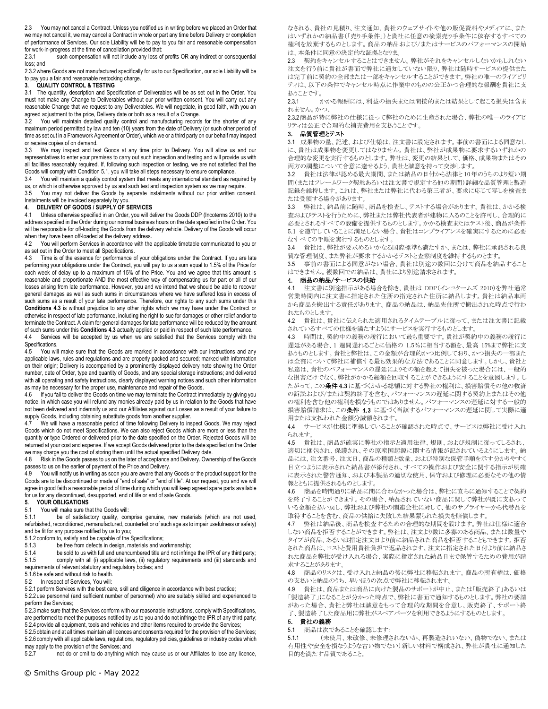2.3 You may not cancel a Contract. Unless you notified us in writing before we placed an Order that we may not cancel it, we may cancel a Contract in whole or part any time before Delivery or completion of performance of Services. Our sole Liability will be to pay to you fair and reasonable compensation for work-in-progress at the time of cancellation provided that:

2.3.1 such compensation will not include any loss of profits OR any indirect or consequential loss; and

2.3.2where Goods are not manufactured specifically for us to our Specification, our sole Liability will be to pay you a fair and reasonable restocking charge.

## **3. QUALITY CONTROL & TESTING**

3.1 The quantity, description and Specification of Deliverables will be as set out in the Order. You must not make any Change to Deliverables without our prior written consent. You will carry out any reasonable Change that we request to any Deliverables. We will negotiate, in good faith, with you an agreed adjustment to the price, Delivery date or both as a result of a Change.

3.2 You will maintain detailed quality control and manufacturing records for the shorter of any maximum period permitted by law and ten (10) years from the date of Delivery (or such other period of time as set out in a Framework Agreement or Order), which we or a third party on our behalf may inspect or receive copies of on demand.

3.3 We may inspect and test Goods at any time prior to Delivery. You will allow us and our representatives to enter your premises to carry out such inspection and testing and will provide us with all facilities reasonably required. If, following such inspection or testing, we are not satisfied that the Goods will comply with Condition 5.1, you will take all steps necessary to ensure compliance.

3.4 You will maintain a quality control system that meets any international standard as required by

us, or which is otherwise approved by us and such test and inspection system as we may require. You may not deliver the Goods by separate instalments without our prior written consent. Instalments will be invoiced separately by you.

# **4. DELIVERY OF GOODS / SUPPLY OF SERVICES**

Unless otherwise specified in an Order, you will deliver the Goods DDP (Incoterms 2010) to the address specified in the Order during our normal business hours on the date specified in the Order. You will be responsible for off-loading the Goods from the delivery vehicle. Delivery of the Goods will occur when they have been off-loaded at the delivery address.<br>4.2 You will perform Services in accordance with the

You will perform Services in accordance with the applicable timetable communicated to you or as set out in the Order to meet all Specifications.

4.3 Time is of the essence for performance of your obligations under the Contract. If you are late performing your obligations under the Contract, you will pay to us a sum equal to 1.5% of the Price for each week of delay up to a maximum of 15% of the Price. You and we agree that this amount is reasonable and proportionate AND the most effective way of compensating us for part or all of our losses arising from late performance. However, you and we intend that we should be able to recover general damages as well as such sums in circumstances where we have suffered loss in excess of such sums as a result of your late performance. Therefore, our rights to any such sums under this **Conditions 4.3** is without prejudice to any other rights which we may have under the Contract or otherwise in respect of late performance, including the right to sue for damages or other relief and/or to terminate the Contract. A claim for general damages for late performance will be reduced by the amount of such sums under this **Conditions 4.3** actually applied or paid in respect of such late performance.

4.4 Services will be accepted by us when we are satisfied that the Services comply with the Specifications.

4.5 You will make sure that the Goods are marked in accordance with our instructions and any applicable laws, rules and regulations and are properly packed and secured; marked with information on their origin; Delivery is accompanied by a prominently displayed delivery note showing the Order number, date of Order, type and quantity of Goods, and any special storage instructions; and delivered with all operating and safety instructions, clearly displayed warning notices and such other information as may be necessary for the proper use, maintenance and repair of the Goods.

If you fail to deliver the Goods on time we may terminate the Contract immediately by giving you notice, in which case you will refund any monies already paid by us in relation to the Goods that have not been delivered and indemnify us and our Affiliates against our Losses as a result of your failure to supply Goods, including obtaining substitute goods from another supplier.

4.7 We will have a reasonable period of time following Delivery to inspect Goods. We may reject Goods which do not meet Specifications. We can also reject Goods which are more or less than the quantity or type Ordered or delivered prior to the date specified on the Order. Rejected Goods will be returned at your cost and expense. If we accept Goods delivered prior to the date specified on the Order we may charge you the cost of storing them until the actual specified Delivery date.<br>4.8 Risk in the Goods passes to us on the later of acceptance and Delivery Owne

Risk in the Goods passes to us on the later of acceptance and Delivery. Ownership of the Goods passes to us on the earlier of payment of the Price and Delivery.

4.9 You will notify us in writing as soon you are aware that any Goods or the product support for the Goods are to be discontinued or made of "end of sale" or "end of life". At our request, you and we will agree in good faith a reasonable period of time during which you will keep agreed spare parts available for us for any discontinued, desupported, end of life or end of sale Goods.

## **5. YOUR OBLIGATIONS**

5.1 You will make sure that the Goods will:<br>5.1.1 be of satisfactory quality, con

be of satisfactory quality, comprise genuine, new materials (which are not used, refurbished, reconditioned, remanufactured, counterfeit or of such age as to impair usefulness or safety) and be fit for any purpose notified by us to you;

5.1.2 conform to, satisfy and be capable of the Specifications;

5.1.3 be free from defects in design, materials and workmanship;

5.1.4 be sold to us with full and unencumbered title and not infringe the IPR of any third party;<br>5.1.5 comply with all (i) applicable laws, (ii) requlatory requirements and (iii) standards and comply with all (i) applicable laws, (ii) regulatory requirements and (iii) standards and requirements of relevant statutory and regulatory bodies; and

5.1.6 be safe and without risk to health.

5.2 In respect of Services, You will:

5.2.1 perform Services with the best care, skill and diligence in accordance with best practice;

5.2.2 use personnel (and sufficient number of personnel) who are suitably skilled and experienced to perform the Services;

.<br>5.2.3 make sure that the Services conform with our reasonable instructions, comply with Specifications, are performed to meet the purposes notified by us to you and do not infringe the IPR of any third party; 5.2.4 provide all equipment, tools and vehicles and other items required to provide the Services;

5.2.5 obtain and at all times maintain all licences and consents required for the provision of the Services;

5.2.6 comply with all applicable laws, regulations, regulatory policies, guidelines or industry codes which may apply to the provision of the Services; and

5.2.7 not do or omit to do anything which may cause us or our Affiliates to lose any licence,

© Smiths Group plc - May 2022

なされる、貴社の見積り、注文通知、貴社のウェブサイトや他の販促資料やメディアに、また はいずれかの納品書(「売り手条件」)と貴社に任意の検索売り手条件に依存するすべての 権利を放棄するものとします。商品の納品および/またはサービスのパフォーマンスの開始 は、本条件に同意の決定的な証拠となりま。

2.3 契約をキャンセルすることはできません。弊社がそれをキャンセルしないかもしれない 注文を行う前に貴社が書面で弊社に通知していない限り、弊社は随時サービスの提供また は完了前に契約の全部または一部をキャンセルすることができます。弊社の唯一のライアビリ ティは、以下の条件でキャンセル時点に作業中のものの公正かつ合理的な報酬を貴社に支 払うことです。

2.3.1 かかる報酬には、利益の損失または間接的または結果として起こる損失は含ま れません。かつ、

2.3.2商品が特に弊社の仕様に従って弊社のために生産された場合、弊社の唯一のライアビ リティは公正で合理的な補充費用を支払うことです。

## 3. 品質管理とテスト

3.1 成果物の量、記述、および仕様は、注文書に設定されます。事前の書面による同意なし に、貴社は成果物を変更してはなりません。貴社は、弊社が成果物に要求するいずれかの 合理的な変更を実行するものとします。弊社は、変更の結果として、価格、成果物またはその 両方の調整について合意に達せるよう、貴社と誠意を持って交渉します。

3.2 貴社は法律が認める最大期間、または納品の日付から法律と 10 年のうちのより短い期 間(またはフレームワーク契約あるいは注文書で規定する他の期間)詳細な品質管理と製造 記録を維持します。これは、弊社または弊社に代わる第三者が、要求に応じて写しを検査ま たは受領する場合があります。

3.3 弊社は、納品前に随時、商品を検査し、テストする場合があります。貴社は、かかる検 査およびテストを行うために、弊社または弊社代表者が建物に入るのことを許可し、合理的に 必要とされるすべての設備を提供するものとします。かかる検査またはテスト後、商品が条件 5.1 を遵守していることに満足しない場合、貴社はコンプライアンスを確実にするために必要 なすべての手順を実行するものとします。

3.4 貴社は、弊社が要求めるいかなる国際標準も満たすか、または、弊社に承認される良 質な管理制度、また弊社が要求するかかるテストと査察制度を維持するものとます。

3.5 事前の書面による同意がない場合、貴社は別途の数回に分けて商品を納品すること はできません。複数回での納品は、貴社により別途請求されます。

## 4. 商品の納品/サービスの供給

4.1 注文書に別途指示がある場合を除き、貴社は DDP(インコタームズ 2010)を弊社通常 営業時間内に注文書に指定された住所の指定された住所に納品します。貴社は納品車両 から商品を搬出する責任があります。商品の納品は、納品先住所で搬出された時点で行わ れたものとします。

4.2 貴社は、貴社に伝えられた適用されるタイムテーブルに従って、または注文書に記載 されているすべての仕様を満たすようにサービスを実行するものとします。

4.3 時間は、契約中の義務の履行において最も重要です。貴社が契約中の義務の履行に 遅延がある場合、1 週間遅れるごとに価格の 1.5%に相当する額を、最高 15%まで弊社に支 払うものとします。貴社と弊社は、この金額が合理的かつ比例しており、かつ損失の一部また は全部について弊社に補償する最も効果的な方法であることに同意します。しかし、貴社と 私達は、貴社のパフォーマンスの遅延によりその額を超えて損失を被った場合には、一般的 な損害だけでなく、弊社がかかる総額を回収することができるようにすることを意図します。し たがって、この条件4.3に基づくかかる総額に対する弊社の権利は、損害賠償その他の救済 の訴訟および/または契約終了を含む、パフォーマンスの遅延に関する契約上またはその他 の権利を含む他の権利を損なうものではありません。パフォーマンスの遅延に対する一般的 損害賠償請求は、この条件 4.3 に基づく当該するパフォーマンスの遅延に関して実際に適 用または支払われた金額分減額されます。

4.4 サービスが仕様に準拠していることが確認された時点で、サービスは弊社に受け入れ られます。

4.5 貴社は、商品が確実に弊社の指示と適用法律、規則、および規制に従ってしるされ、 適切に梱包され、保護され、その原産国起源に関する情報が記されているようにします。納 品には、注文番号、注文日、商品の種類と数量、および特別な保管手順を示す分かりやすく 目立つように表示された納品書が添付され、すべての操作および安全に関する指示が明確 に表示された警告通知、および本製品の適切な使用、保守および修理に必要なその他の情 報とともに提供されるものとします。

4.6 商品を時間通りに納品に間に合わなかった場合は、弊社に直ちに通知することで契約 を終了することができます。その場合、納品されていない商品に関して弊社が既に支払って いる金額を払い戻し、弊社および弊社の関連会社に対して、他のサプライヤーから代替品を 取得することを含む、商品の供給に失敗した結果蒙られた損失を賠償します。

4.7 弊社は納品後、商品を検査するための合理的な期間を設けます。弊社は仕様に適合 しない商品を拒否することができます。弊社は、注文より数に多寡のある商品、または数量や タイプが商品、あるいは指定注文日より前に納品された商品を拒否することもできます。拒否 された商品は、コストと費用貴社負担で返品されます。注文に指定された日付より前に納品さ れた商品を弊社が受け入れる場合、実際に指定された納品日まで保管するための費用が請 求することがあります。

4.8 商品のリスクは、受け入れと納品の後に弊社に移転されます。商品の所有権は、価格 の支払いと納品のうち、早いほうの次点で弊社に移転されます。

4.9 貴社は、商品または商品に向けた製品のサポートが中止、または「販売終了」あるいは 「製造終了」になることが分かった時点で、弊社に書面で通知するものとします。弊社の要請 があった場合、貴社と弊社は誠意をもって合理的な期間を合意し、販売終了、サポート終 了、製造終了した商品用に弊社がスペアパーツを利用できるようにするものとします。

#### 5. 貴社の義務

5.1 商品は次であることを確認します:

5.1.1 (未使用、未改修、未修理されないか、再製造されいない、偽物でない、または 有用性や安全を損なうような古い物でない)新しい材料で構成され、弊社が貴社に通知した 目的を満たす品質であること。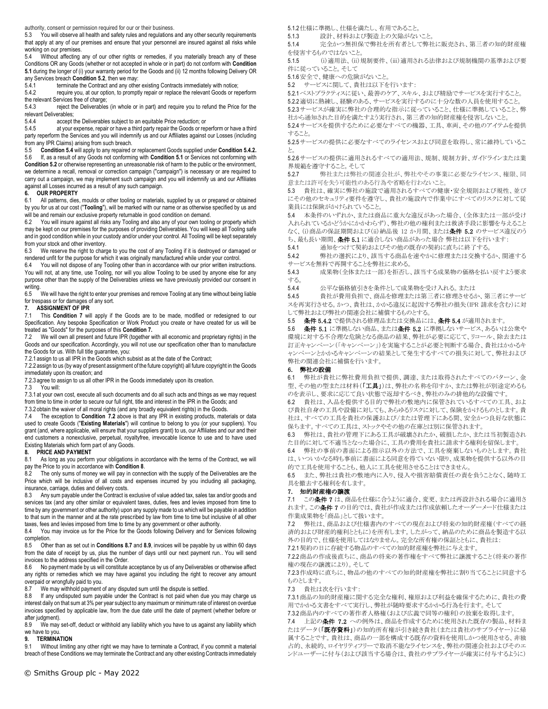authority, consent or permission required for our or their business.

You will observe all health and safety rules and regulations and any other security requirements that apply at any of our premises and ensure that your personnel are insured against all risks while working on our premises.

Without affecting any of our other rights or remedies, if you materially breach any of these Conditions OR any Goods (whether or not accepted in whole or in part) do not conform with **Condition 5.1** during the longer of (i) your warranty period for the Goods and (ii) 12 months following Delivery OR any Services breach **Condition 5.2**, then we may:<br>5.4.1 terminate the Contract and any other

5.4.1 terminate the Contract and any other existing Contracts immediately with notice;<br>5.4.2 require you, at our option, to promptly repair or replace the relevant Goods or rep

require you, at our option, to promptly repair or replace the relevant Goods or reperform the relevant Services free of charge;

5.4.3 reject the Deliverables (in whole or in part) and require you to refund the Price for the relevant Deliverables;<br>5.4.4 accept to

accept the Deliverables subject to an equitable Price reduction; or

5.4.5 at your expense, repair or have a third party repair the Goods or reperform or have a third party reperform the Services and you will indemnify us and our Affiliates against our Losses (including from any IPR Claims) arising from such breach.

5.5 **Condition 5.4** will apply to any repaired or replacement Goods supplied under **Condition 5.4.2.** 5.6 If, as a result of any Goods not conforming with **Condition 5.1** or Services not conforming with **Condition 5.2** or otherwise representing an unreasonable risk of harm to the public or the environment, we determine a recall, removal or correction campaign ("campaign") is necessary or are required to

carry out a campaign, we may implement such campaign and you will indemnify us and our Affiliates against all Losses incurred as a result of any such campaign.

## **6. OUR PROPERTY**

6.1 All patterns, dies, moulds or other tooling or materials, supplied by us or prepared or obtained by you for us at our cost ("**Tooling**"), will be marked with our name or as otherwise specified by us and will be and remain our exclusive property returnable in good condition on demand.

6.2 You will insure against all risks any Tooling and also any of your own tooling or property which may be kept on our premises for the purposes of providing Deliverables. You will keep all Tooling safe and in good condition while in your custody and/or under your control. All Tooling will be kept separately from your stock and other inventory.

6.3 We reserve the right to charge to you the cost of any Tooling if it is destroyed or damaged or rendered unfit for the purpose for which it was originally manufactured while under your control.<br>6.4 You will not dispose of any Tooling other than in accordance with our prior written instru

You will not dispose of any Tooling other than in accordance with our prior written instructions. You will not, at any time, use Tooling, nor will you allow Tooling to be used by anyone else for any purpose other than the supply of the Deliverables unless we have previously provided our consent in writing.<br>6.5

 $\breve{a}$  We will have the right to enter your premises and remove Tooling at any time without being liable for trespass or for damages of any sort.

## **7. ASSIGNMENT OF IPR**

7.1 This **Condition 7** will apply if the Goods are to be made, modified or redesigned to our Specification. Any bespoke Specification or Work Product you create or have created for us will be treated as "Goods" for the purposes of this **Condition 7.**

7.2 We will own all present and future IPR (together with all economic and proprietary rights) in the Goods and our specification. Accordingly, you will not use our specification other than to manufacture the Goods for us. With full title guarantee, you:

7.2.1 assign to us all IPR in the Goods which subsist as at the date of the Contract;

7.2.2 assign to us (by way of present assignment of the future copyright) all future copyright in the Goods immediately upon its creation; and

7.2.3 agree to assign to us all other IPR in the Goods immediately upon its creation.<br>7.3 You will:

.<br>You will:

7.3.1 at your own cost, execute all such documents and do all such acts and things as we may request from time to time in order to secure our full right, title and interest in the IPR in the Goods; and

7.3.2 obtain the waiver of all moral rights (and any broadly equivalent rights) in the Goods.

7.4 The exception to **Condition 7.2** above is that any IPR in existing products, materials or data used to create Goods ("**Existing Materials**") will continue to belong to you (or your suppliers). You grant (and, where applicable, will ensure that your suppliers grant) to us, our Affiliates and our and their end customers a nonexclusive, perpetual, royaltyfree, irrevocable licence to use and to have used Existing Materials which form part of any Goods.

# **8. PRICE AND PAYMENT**<br>8.1 As long as you perform

As long as you perform your obligations in accordance with the terms of the Contract, we will pay the Price to you in accordance with **Condition 8**.

8.2 The only sums of money we will pay in connection with the supply of the Deliverables are the Price which will be inclusive of all costs and expenses incurred by you including all packaging, insurance, carriage, duties and delivery costs.<br>8.3 Any sum payable under the Contract is

Any sum payable under the Contract is exclusive of value added tax, sales tax and/or goods and services tax (and any other similar or equivalent taxes, duties, fees and levies imposed from time to time by any government or other authority) upon any supply made to us which will be payable in addition to that sum in the manner and at the rate prescribed by law from time to time but inclusive of all other

taxes, fees and levies imposed from time to time by any government or other authority.<br>8.4. You may invoice us for the Price for the Goods following Delivery and for Se You may invoice us for the Price for the Goods following Delivery and for Services following completion.

8.5 Other than as set out in **Conditions 8.7** and **8.9**, invoices will be payable by us within 60 days from the date of receipt by us, plus the number of days until our next payment run.. You will send invoices to the address specified in the Order.

8.6 No payment made by us will constitute acceptance by us of any Deliverables or otherwise affect any rights or remedies which we may have against you including the right to recover any amount overpaid or wrongfully paid to you.<br>8.7 We may withhold payment

We may withhold payment of any disputed sum until the dispute is settled.

8.8 If any undisputed sum payable under the Contract is not paid when due you may charge us interest daily on that sum at 3% per year subject to any maximum or minimum rate of interest on overdue invoices specified by applicable law, from the due date until the date of payment (whether before or after judgment).<br>8.9 We may

We may set-off, deduct or withhold any liability which you have to us against any liability which we have to you.

## **9. TERMINATION**

9.1 Without limiting any other right we may have to terminate a Contract, if you commit a material breach of these Conditions we may terminate the Contract and any other existing Contracts immediately

5.1.2仕様に準拠し、仕様を満たし、有用であること。

5.1.3 設計、材料および製造上の欠陥がないこと。

5.1.4 完全かつ無担保で弊社を所有者として弊社に販売され、第三者の知的財産権 を侵害するものではないこと。

5.1.5 (i)適用法、(ii)規制要件、(iii)適用される法律および規制機関の基準および要 件に従っていること。そして

5.1.6安全で、健康への危険がないこと。

5.2 サービスに関して、貴社は以下を行います:

5.2.1ベストプラクティスに従い、最善のケア、スキル、および精励でサービスを実行すること。 5.2.2適切に熟練し、経験のある、サービスを実行するのに十分な数の人員を使用すること。

5.2.3サービスが確実に弊社の合理的な指示に従っていること、仕様に準拠していること、弊 社から通知された目的を満たすよう実行され、第三者の知的財産権を侵害しないこと。

5.2.4サービスを提供するために必要なすべての機器、工具、車両、その他のアイテムを提供 すること。

5.2.5サービスの提供に必要なすべてのライセンスおよび同意を取得し、常に維持しているこ と。

5.2.6サービスの提供に適用されるすべての適用法、規制、規制方針、ガイドラインまたは業 界規範を遵守すること。そして

5.2.7 弊社または弊社の関連会社が、弊社やその事業に必要なライセンス、権限、同 意または許可を失う可能性のある行為や省略を行わないこと。

5.3 貴社は、確実に弊社の施設で適用されるすべての健康・安全規則および規性、並び にその他のセキュリティ要件を遵守し、貴社の施設内で作業中にすべてのリスクに対して従 業員には保険がかけられていること。

5.4 本条件のいずれか、または商品に重大な違反があった場合、(全体または一部が受け 入れられているかどうかにかかわらず)、弊社の他の権利または救済手段に影響を与えること なく、(i)商品の保証期間および(ii)納品後 12 か月間、または条件 5.2 のサービス違反のう ち、最も長い期間、条件5.1 に適合しない商品があった場合 弊社は以下を行います:

5.4.1 通知をつけて契約およびその他の既存の契約に直ちに終了する。

5.4.2 弊社の選択により、該当する商品を速やかに修理または交換するか、関連する サービスを無料で再開することを弊社に求める。

5.4.3 成果物(全体または一部)を拒否し、該当する成果物の価格を払い戻すよう要求 する。

5.4.4 公平な価格値引きを条件として成果物を受け入れる。または

5.4.5 貴社が費用負担で、商品を修理または第三者に修理させるか、第三者にサービ スを再実行させる。かつ、貴社は、かかる違反に起因する弊社の損失(IPR 請求を含む)に対 して弊社および弊社の関連会社に補償するものとする。

5.5 条件 5.4.2 で提供される修理品または交換品には、条件 5.4 が適用されます。

5.6 条件 5.1 に準拠しない商品、または条件 5.2 に準拠しないサービス、あるいは公衆や 環境に対する不合理な危険となる商品の結果、弊社が必要に応じて、リコール、除去または 訂正キャンペーン(「キャンペーン」)を実施することが必要と判断する場合、貴社はかかるキ ャンペーンとかかるキャンペーンの結果として発生するすべての損失に対して、弊社および 弊社の関連会社に補償を行います。

## 6. 弊社の設備

6.1 弊社が貴社に弊社費用負担で提供、調達、または取得されたすべてのパターン、金 型、その他の型または材料(「工具」)は、弊社の名称を印すか、または弊社が別途定めるも のを表示し、要求に応じて良い状態で返却するべき、弊社のみの排他的な設備です。

6.2 貴社は、入品を提供する目的で弊社の敷地内に保管されているすべての工具、およ び貴社自身の工具や設備に対しても、あらゆるリスクに対して、保険をかけるものとします。貴 社は、すべての工具を貴社の保護および/または管理下にある間、安全かつ良好な状態に 保ちます。すべての工具は、ストックやその他の在庫とは別に保管されます。

6.3 弊社は、貴社の管理下にある工具が破壊されたか、破損したか、または当初製造され た目的に対して不適当となった場合に、工具の費用を貴社に請求する権利を留保します。

6.4 弊社の事前の書面による指示以外の方法で、工具を廃棄しないものとします。貴社 は、いついかなる時も事前に書面による同意を得ていない限り、成果物を提供する以外の目 的で工具を使用することも、他人に工具を使用させることはできません。

6.5 また、弊社は貴社の敷地内に入り、侵入や損害賠償責任の責を負うことなく、随時工 具を撤去する権利を有します。

## 7. 知的財産権の譲渡

7.1 この条件7は、商品を仕様に合うように適合、変更、または再設計される場合に適用さ れます。この条件 7 の目的では、貴社が作成または作成依頼したオーダーメード仕様または 作業成果物を「商品」として扱います。

7.2 弊社は、商品および仕様書内のすべての現在および将来の知的財産権(すべての経 済的および財産的権利とともに)を所有します。したがって、納品のために商品を製造する以 外の目的で、仕様を使用してはなりません。完全な所有権の保証とともに、貴社は:

7.2.1契約の日に存続する物品のすべての知的財産権を弊社に与えます。

7.2.2商品の作成後直ちに、商品の将来の著作権をすべて弊社に譲渡すること(将来の著作 権の現在の譲渡により)。そして

7.2.3作成時に直ちに、物品の他のすべての知的財産権を弊社に割り当てることに同意する ものとします。

7.3 貴社は次を行います:

7.3.1商品の知的財産権に関する完全な権利、権原および利益を確保するために、貴社の費 用でかかる文書をすべて実行し、弊社が随時要求するかかる行為を行ます。そして

7.3.2商品内のすべての著作者人格権(および広義で同等の権利)の放棄を取得します。 7.4 上記の条件 7.2 への例外は、商品を作成するために使用された既存の製品、材料ま たはデータ(「既存資料」)の知的所有権が引き続き貴社(または貴社のサプライヤー)に帰 属することです。貴社は、商品の一部を構成する既存の資料を使用しかつ使用させる、非独 占的、永続的、ロイヤリティフリーで取消不能なライセンスを、弊社の関連会社およびそのエ ンドユーザーに付与(および該当する場合は、貴社のサプライヤーが確実に付与するように)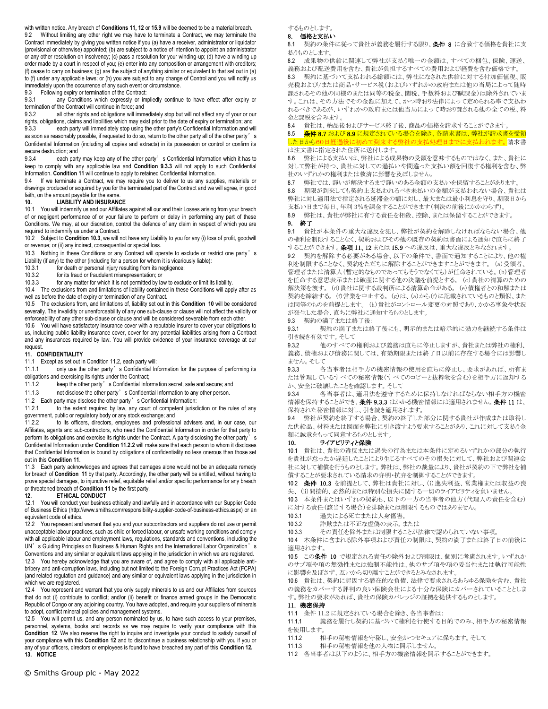with written notice. Any breach of **Conditions 11, 12** or **15.9** will be deemed to be a material breach. Without limiting any other right we may have to terminate a Contract, we may terminate the Contract immediately by giving you written notice if you (a) have a receiver, administrator or liquidator (provisional or otherwise) appointed; (b) are subject to a notice of intention to appoint an administrator or any other resolution on insolvency; (c) pass a resolution for your winding-up; (d) have a winding up order made by a court in respect of you; (e) enter into any composition or arrangement with creditors; (f) cease to carry on business; (g) are the subject of anything similar or equivalent to that set out in (a) to (f) under any applicable laws; or (h) you are subject to any change of Control and you will notify us immediately upon the occurrence of any such event or circumstance.

9.3 Following expiry or termination of the Contract:<br>9.3.1 any Conditions which expressly or imp

any Conditions which expressly or impliedly continue to have effect after expiry or termination of the Contract will continue in force; and<br>9.3.2 all other rights and obligations will immed

all other rights and obligations will immediately stop but will not affect any of your or our rights, obligations, claims and liabilities which may exist prior to the date of expiry or termination; and

9.3.3 each party will immediately stop using the other party's Confidential Information and will as soon as reasonably possible, if requested to do so, return to the other party all of the other party's Confidential Information (including all copies and extracts) in its possession or control or confirm its secure destruction; and

9.3.4 each party may keep any of the other party's Confidential Information which it has to keep to comply with any applicable law and **Condition 9.3.3** will not apply to such Confidential Information. **Condition 11** will continue to apply to retained Confidential Information.

9.4 If we terminate a Contract, we may require you to deliver to us any supplies, materials or drawings produced or acquired by you for the terminated part of the Contract and we will agree, in good faith, on the amount payable for the same.

## **10. LIABILITY AND INSURANCE**

10.1 You will indemnify us and our Affiliates against all our and their Losses arising from your breach of or negligent performance of or your failure to perform or delay in performing any part of these Conditions. We may, at our discretion, control the defence of any claim in respect of which you are required to indemnify us under a Contract.

10.2 Subject to **Condition 10.3**, we will not have any Liability to you for any (i) loss of profit, goodwill or revenue; or (ii) any indirect, consequential or special loss.

10.3 Nothing in these Conditions or any Contract will operate to exclude or restrict one party's Liability (if any) to the other (including for a person for whom it is vicariously liable):<br>10.3.1 for death or personal injury resulting from its negligence:

10.3.1 for death or personal injury resulting from its negligence;<br>10.3.2 for its fraud or fraudulent misrepresentation: or

for its fraud or fraudulent misrepresentation; or

10.3.3 for any matter for which it is not permitted by law to exclude or limit its liability.

10.4 The exclusions from and limitations of liability contained in these Conditions will apply after as well as before the date of expiry or termination of any Contract.

10.5 The exclusions from, and limitations of, liability set out in this **Condition 10** will be considered severally. The invalidity or unenforceability of any one sub-clause or clause will not affect the validity or enforceability of any other sub-clause or clause and will be considered severable from each other.

10.6 You will have satisfactory insurance cover with a reputable insurer to cover your obligations to us, including public liability insurance cover, cover for any potential liabilities arising from a Contract and any insurances required by law. You will provide evidence of your insurance coverage at our request.

## **11. CONFIDENTIALITY**

11.1 Except as set out in Condition 11.2, each party will:

11.1.1 only use the other party's Confidential Information for the purpose of performing its obligations and exercising its rights under the Contract;

11.1.2 keep the other party's Confidential Information secret, safe and secure; and

11.1.3 not disclose the other party's Confidential Information to any other person.

11.2 Each party may disclose the other party's Confidential Information:

11.2.1 to the extent required by law, any court of competent jurisdiction or the rules of any government, public or regulatory body or any stock exchange; and 11.2.2 to its officers, directors, employees and profession

to its officers, directors, employees and professional advisers and, in our case, our Affiliates, agents and sub-contractors, who need the Confidential Information in order for that party to perform its obligations and exercise its rights under the Contract. A party disclosing the other party's Confidential Information under **Condition 11.2.2** will make sure that each person to whom it discloses that Confidential Information is bound by obligations of confidentiality no less onerous than those set out in this **Condition 11**.

11.3 Each party acknowledges and agrees that damages alone would not be an adequate remedy for breach of **Condition 11** by that party. Accordingly, the other party will be entitled, without having to prove special damages, to injunctive relief, equitable relief and/or specific performance for any breach or threatened breach of **Condition 11** by the first party.

## **12. ETHICAL CONDUCT**

12.1 You will conduct your business ethically and lawfully and in accordance with our Supplier Code of Business Ethics (http://www.smiths.com/responsibility-supplier-code-of-business-ethics.aspx) or an equivalent code of ethics.

12.2 You represent and warrant that you and your subcontractors and suppliers do not use or permit unacceptable labour practices, such as child or forced labour, or unsafe working conditions and comply with all applicable labour and employment laws, regulations, standards and conventions, including the UN's Guiding Principles on Business & Human Rights and the International Labor Organization's

Conventions and any similar or equivalent laws applying in the jurisdiction in which we are registered. 12.3 You hereby acknowledge that you are aware of, and agree to comply with all applicable antibribery and anti-corruption laws, including but not limited to the Foreign Corrupt Practices Act (FCPA) (and related regulation and guidance) and any similar or equivalent laws applying in the jurisdiction in which we are registered.

12.4 You represent and warrant that you only supply minerals to us and our Affiliates from sources that do not (i) contribute to conflict; and/or (ii) benefit or finance armed groups in the Democratic Republic of Congo or any adjoining country. You have adopted, and require your suppliers of minerals to adopt, conflict mineral policies and management systems.

12.5 You will permit us, and any person nominated by us, to have such access to your premises, personnel, systems, books and records as we may require to verify your compliance with this **Condition 12**. We also reserve the right to inquire and investigate your conduct to satisfy ourself of your compliance with this **Condition 12** and to discontinue a business relationship with you if you or any of your officers, directors or employees is found to have breached any part of this **Condition 12. 13. NOTICE**

© Smiths Group plc - May 2022

するものとします。

#### 8. 価格と支払い

8.1 契約の条件に従って貴社が義務を履行する限り、条件 8 に合致する価格を貴社に支 払うものとします。

8.2 成果物の供給に関連して弊社が支払う唯一の金額は、すべての梱包、保険、運送、 義務および配送費用を含む、貴社が負担するすべての費用および経費を含む価格です。 8.3 契約に基づいて支払われる総額には、弊社になされた供給に対する付加価値税、販 売税および/または商品・サービス税(およびいずれかの政府または他の当局によって随時 課されるその他の同様のまたは同等の税金、関税、手数料および賦課金)は除外されていま す。これは、その方法でその金額に加えて、かつ時おり法律によって定められる率で支払わ れるべきであるが、いずれかの政府または他当局によって時おり課される他の全ての税、料

金と課税を含みます。 8.4 貴社は、納品後およびサービス終了後、商品の価格を請求することができます。 8.5 条件 8.7 および 8.9 に規定されている場合を除き、各請求書は、弊社が請求書を受領

した日から60日経過後に初めて到来する弊社の支払処理日までに支払われます。請求書 は注文書に指定された住所に送付します。

8.6 弊社による支払いは、弊社による成果物の受領を意味するものではなく、また、貴社に 対して弊社が持つ、貴社に対しての過払いや間違った支払い額を回復する権利を含む、弊 社のいずれかの権利または救済に影響を及ぼしません。

8.7 弊社では、諍いが解決するまで諍いのある金額の支払いを保留することがあります。

8.8 期限が到来しても契約上支払われるべき未払いの金額が支払われない場合、貴社は 弊社に対し適用法で指定される延滞金の額に対し、最大または最小利息を守り、期限日から 支払い日まで毎日、年利 3%を課金することができます(判決の前後にかかわらず)。

8.9 弊社は、貴社が弊社に有する責任を相殺、控除、または保留することができます。

9. 終了

9.1 貴社が本条件の重大な違反を犯し、弊社が契約を解除しなければならない場合、他 の権利を制限することなく、契約およびその他の既存の契約は書面による通知で直ちに終了 することができます。条項 11、12 または 15.9 への違反は、重大な違反とみなされます。

9.2 契約を解除する必要がある場合、以下の条件で、書面で通知することにより、他の権 利を制限することなく、契約をただちに解除することができますことができます。 (a)受領者、 管理者または清算人(暫定的なものであってもそうでなくても)が任命されている。(b)管理者 を任命する意思表示または破産に関する他の決議を前提とする。 (c)貴社の清算のための 解決策を渡す。 (d)貴社に関する裁判所による清算命令がある。 (e)債権者との和解または 契約を締結する。 (f)営業を中止する。 (g)は、(a)から(f)に記載されているものと類似、また は同等のものを前提とします。 (h)貴社がコントロール変更の対照であり、かかる事象や状況 が発生した場合、直ちに弊社に通知するものとします。

9.3 契約の満了または終了後:

9.3.1 契約の満了または終了後にも、明示的または暗示的に効力を継続する条件は 引き続き有効です。そして

9.3.2 他のすべての権利および義務は直ちに停止しますが、貴社または弊社の権利、 義務、債権および債務に関しては、有効期限または終了日以前に存在する場合には影響し ません。そして

9.3.3 各当事者は相手方の機密情報の使用を直ちに停止し、要求があれば、所有ま たは管理しているすべての秘密情報(すべてのコピーと抜粋物を含む)を相手方に返却する か、安全に破壊したことを確認します。そして

9.3.4 各当事者は、適用法を遵守するために保持しなければならない相手方の機密 情報を保持することができ、条件 9.3.3 はかかる機密情報には適用されません。 条件 11 は、 保持された秘密情報に対し、引き続き適用されます。

9.4 弊社が契約を終了する場合、契約の終了した部分に関する貴社が作成または取得し た供給品、材料または図面を弊社に引き渡すよう要求することがあり、これに対して支払う金 額に誠意をもって同意するものとします。

## 10. ライアビリティと保険

10.1 貴社は、貴社の違反または過失の行為または本条件に定めるいずれかの部分の執行 を貴社が怠ったか遅延したことにより生じるすべてのその損失に対して、弊社および関連会 社に対して補償を行うものとします。弊社は、弊社の裁量により、貴社が契約の下で弊社を補 償することが要求されている請求の弁明・抗弁を制御することができます。

10.2 条件 10.3 を前提として、弊社は貴社に対し、(i)逸失利益、営業権または収益の喪

失、 (ii)間接的、必然的または特別な損失に関する一切のライアビリティを負いません。

10.3 本条件またはいずれの契約も、以下の一方の当事者の他方(代理人の責任を含む) に対する責任(該当する場合)を排除または制限するものではありません。

10.3.1 過失による死亡または人身傷害。

10.3.2 詐欺または不正な虚偽の表示。または

10.3.3 その責任を除外または制限することが法律で認められていない事項。

10.4 本条件に含まれる除外事項および責任の制限は、契約の満了または終了日の前後に 適用されます。

10.5 この条件 10 で規定される責任の除外および制限は、個別に考慮されます。いずれか のサブ項や項の無効性または強制不能性は、他のサブ項や項の妥当性または執行可能性 に影響を及ぼさず、互いから切り離すことができるとみなされます。

10.6 貴社は、契約に起因する潜在的な負債、法律で要求されるあらゆる保険を含む、貴社 の義務をカバーする評判の良い保険会社による十分な保険にカバーされていることとしま す。弊社の要求があれば、貴社の保険カバレッジの証拠を提供するものとします。

## 11. 機密保持

11.1 条件 11.2 に規定されている場合を除き、各当事者は:

11.1.1 義務を履行し契約に基づいて権利を行使する目的でのみ、相手方の秘密情報 を使用します。

11.1.2 相手の秘密情報を守秘し、安全かつセキュアに保ちます。そして

11.1.3 相手の秘密情報を他の人物に開示しません。

11.2 各当事者は以下のように、相手方の機密情報を開示することができます。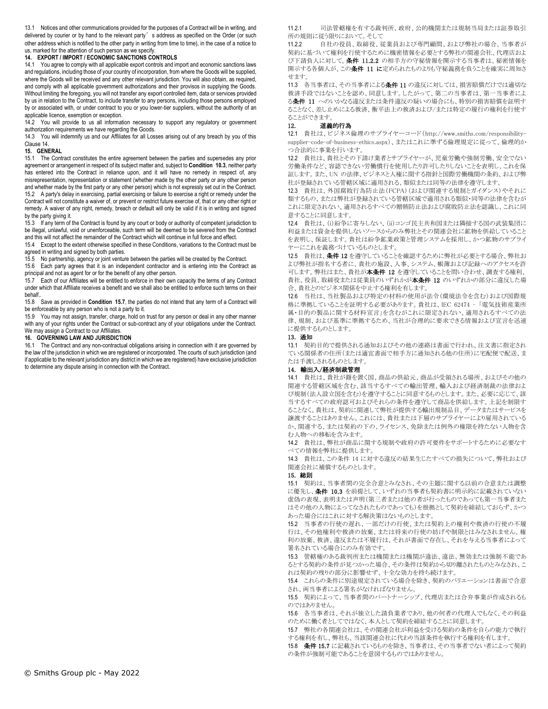13.1 Notices and other communications provided for the purposes of a Contract will be in writing, and delivered by courier or by hand to the relevant party's address as specified on the Order (or such other address which is notified to the other party in writing from time to time), in the case of a notice to us, marked for the attention of such person as we specify.

## **14. EXPORT / IMPORT / ECONOMIC SANCTIONS CONTROLS**

14.1 You agree to comply with all applicable export controls and import and economic sanctions laws and regulations, including those of your country of incorporation, from where the Goods will be supplied, where the Goods will be received and any other relevant jurisdiction. You will also obtain, as required, and comply with all applicable government authorizations and their provisos in supplying the Goods. Without limiting the foregoing, you will not transfer any export controlled item, data or services provided by us in relation to the Contract, to include transfer to any persons, including those persons employed by or associated with, or under contract to you or you lower-tier suppliers, without the authority of an applicable licence, exemption or exception.

14.2 You will provide to us all information necessary to support any regulatory or government authorization requirements we have regarding the Goods.

14.3 You will indemnify us and our Affiliates for all Losses arising out of any breach by you of this Clause 14.

### **15. GENERAL**

15.1 The Contract constitutes the entire agreement between the parties and supersedes any prior agreement or arrangement in respect of its subject matter and, subject to **Condition 10.3**, neither party has entered into the Contract in reliance upon, and it will have no remedy in respect of, any misrepresentation, representation or statement (whether made by the other party or any other person and whether made by the first party or any other person) which is not expressly set out in the Contract. 15.2 A party's delay in exercising, partial exercising or failure to exercise a right or remedy under the Contract will not constitute a waiver of, or prevent or restrict future exercise of, that or any other right or remedy. A waiver of any right, remedy, breach or default will only be valid if it is in writing and signed by the party giving it.

15.3 If any term of the Contract is found by any court or body or authority of competent jurisdiction to be illegal, unlawful, void or unenforceable, such term will be deemed to be severed from the Contract and this will not affect the remainder of the Contract which will continue in full force and effect.

15.4 Except to the extent otherwise specified in these Conditions, variations to the Contract must be agreed in writing and signed by both parties.

15.5 No partnership, agency or joint venture between the parties will be created by the Contract.

15.6 Each party agrees that it is an independent contractor and is entering into the Contract as principal and not as agent for or for the benefit of any other person.

15.7 Each of our Affiliates will be entitled to enforce in their own capacity the terms of any Contract under which that Affiliate receives a benefit and we shall also be entitled to enforce such terms on their behalf..

15.8 Save as provided in **Condition 15.7**, the parties do not intend that any term of a Contract will be enforceable by any person who is not a party to it.

15.9 You may not assign, transfer, charge, hold on trust for any person or deal in any other manner with any of your rights under the Contract or sub-contract any of your obligations under the Contract. We may assign a Contract to our Affiliates.

#### **16. GOVERNING LAW AND JURISDICTION**

16.1 The Contract and any non-contractual obligations arising in connection with it are governed by the law of the jurisdiction in which we are registered or incorporated. The courts of such jurisdiction (and if applicable to the relevant jurisdiction any district in which we are registered) have exclusive jurisdiction to determine any dispute arising in connection with the Contract.

11.2.1 司法管轄権を有する裁判所、政府、公的機関または規制当局または証券取引 所の規則に従う限りにおいて。そして

11.2.2 自社の役員、取締役、従業員および専門顧問、および弊社の場合、当事者が 契約に基づいて権利を行使するために機密情報を必要とする弊社の関連会社、代理店およ び下請負人に対して。条件 11.2.2 の相手方の守秘情報を開示する当事者は、秘密情報を 開示する各個人が、この条件 11 に定められたものよりも守秘義務を負うことを確実に周知さ せます。

11.3 各当事者は、その当事者による条件 11 の違反に対しては、損害賠償だけでは適切な 救済手段ではないことを認め、同意します。したがって、第二の当事者は、第一当事者によ る条件 11 へのいかなる違反または条件違反の疑いの場合にも、特別の損害賠償を証明す ることなく、差し止めによる救済、衡平法上の救済および/または特定の履行の権利を行使す ることができます。

#### 12. 道義的行為

12.1 貴社は、ビジネス倫理のサプライヤーコード(http://www.smiths.com/responsibilitysupplier-code-of-business-ethics.aspx)、またはこれに準ずる倫理規定に従って、倫理的か つ合法的に事業を行います。

12.2 貴社は、貴社とその下請け業者とサプライヤーが、児童労働や強制労働、安全でない 労働条件など、容認できない労働慣行を使用したり許可したりしないことを表明し、これを保 証します。また、UN の法律、ビジネスと人権に関する指針と国際労働機関の条約、および弊 社が登録されている管轄区域に適用される、類似または同等の法律を遵守します。

12.3 貴社は、外国腐敗行為防止法(FCPA)(および関連する規制とガイダンス)やそれに 類するもの、または弊社が登録されている管轄区域で適用される類似・同等の法律を含むが これに限定されない、適用されるすべての贈賄防止法および腐敗防止法を認識し、これに同 意することに同意します。

12.4 貴社は、(i)紛争に寄与しない、(ii)コンゴ民主共和国または隣接する国の武装集団に 利益または資金を提供しないソースからのみ弊社とその関連会社に鉱物を供給していること を表明し、保証します。貴社は紛争鉱業政策と管理システムを採用し、かつ鉱物のサプライ ヤーにこれを義務づけているものとします。

12.5 貴社は、条件 12 を遵守していることを確認するために弊社が必要とする場合、弊社お よび弊社が指名する者に、貴社の施設、人事、システム、帳簿および記録へのアクセスを許 可します。弊社はまた、貴社が本条件 12 を遵守していることを問い合わせ、調査する権利、 貴社、役員、取締役または従業員のいずれかが**本条件 12** のいずれかの部分に違反した場 合、貴社とのビジネス関係を中止する権利を有します。

12.6 当社は、当社製品および特定の材料の使用が法令(環境法令を含む)および国際規 格に準拠していることを証明する必要があります。貴社は、IEC 62474 – 「電気技術産業所 属・目的の製品に関する材料宣言」を含むがこれに限定されない、適用されるすべての法 律、規制、および基準に準拠するため、当社が合理的に要求できる情報および宣言を迅速 に提供するものとします。

#### 13. 通知

13.1 契約目的で提供される通知およびその他の連絡は書面で行われ、注文書に指定され ている関係者の住所(または適宜書面で相手方に通知される他の住所)に宅配便で配送、ま たは手渡しされるものとします。

#### 14. 輸出入/経済制裁管理

14.1 貴社は、貴社が籍を置く国、商品の供給元、商品が受領される場所、およびその他の 関連する管轄区域を含む、該当するすべての輸出管理、輸入および経済制裁の法律およ び規制(法人設立国を含む)を遵守することに同意するものとします。また、必要に応じて、該 当するすべての政府認可およびそれらの条件を遵守して商品を供給します。上記を制限す ることなく、貴社は、契約に関連して弊社が提供する輸出規制品目、データまたはサービスを 譲渡することはありません。これには、貴社または下層のサプライヤーにより雇用されている か、関連する、または契約の下の、ライセンス、免除または例外の権限を持たない人物を含 む人物への移転を含みます。

14.2 貴社は、弊社が商品に関する規制や政府の許可要件をサポートするために必要なす べての情報を弊社に提供します。

14.3 貴社は、この条件 14 に対する違反の結果生じたすべての損失について、弊社および 関連会社に補償するものとします。

#### 15. 総則

15.1 契約は、当事者間の完全合意とみなされ、その主題に関する以前の合意または調整 に優先し、条件 10.3 を前提として、いずれの当事者も契約書に明示的に記載されていない 虚偽の表現、表明または声明(第三者または他の者が行ったものであっても第一当事者また はその他の人物によってなされたものであっても)を根拠として契約を締結しておらず、かつ あった場合にはこれに対する解決策はないものとします。

15.2 当事者の行使の遅れ、一部だけの行使、または契約上の権利や救済の行使の不履 行は、その他権利や救済の放棄、または将来の行使の妨げや制限とはみなされません。権 利の放棄、救済、違反または不履行は、それが書面で存在し、それを与える当事者によって 署名されている場合にのみ有効です。

15.3 管轄権のある裁判所または機関または機関が違法、違法、無効または強制不能であ るとする契約の条件が見つかった場合、その条件は契約から切り離されたものとみなされ、こ れは契約の残りの部分に影響せず、十全な効力を持ち続けます。

15.4 これらの条件に別途規定されている場合を除き、契約のバリエーションは書面で合意 され、両当事者による署名がなければなりません。

15.5 契約によって、当事者間のパートナーシップ、代理店または合弁事業が作成されるも のではありません。

15.6 各当事者は、それが独立した請負業者であり、他の何者の代理人でもなく、その利益 のために働く者としてではなく、本人として契約を締結することに同意します。

15.7 弊社の各関連会社は、その関連会社が利益を受ける契約の条件を自らの能力で執行 する権利を有し、弊社も、当該関連会社に代わり当該条件を執行する権利を有します。

15.8 条件 15.7 に記載されているものを除き、当事者は、その当事者でない者によって契約 の条件が強制可能であることを意図するものではありません。